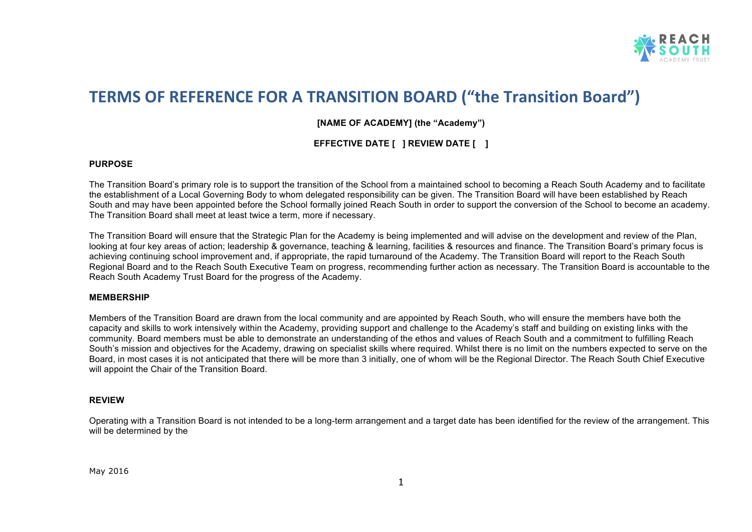

## **TERMS OF REFERENCE FOR A TRANSITION BOARD ("the Transition Board")**

**[NAME OF ACADEMY] (the "Academy")**

**EFFECTIVE DATE [ ] REVIEW DATE [ ]**

## **PURPOSE**

The Transition Board's primary role is to support the transition of the School from a maintained school to becoming a Reach South Academy and to facilitate the establishment of a Local Governing Body to whom delegated responsibility can be given. The Transition Board will have been established by Reach South and may have been appointed before the School formally joined Reach South in order to support the conversion of the School to become an academy. The Transition Board shall meet at least twice a term, more if necessary.

The Transition Board will ensure that the Strategic Plan for the Academy is being implemented and will advise on the development and review of the Plan, looking at four key areas of action; leadership & governance, teaching & learning, facilities & resources and finance. The Transition Board's primary focus is achieving continuing school improvement and, if appropriate, the rapid turnaround of the Academy. The Transition Board will report to the Reach South Regional Board and to the Reach South Executive Team on progress, recommending further action as necessary. The Transition Board is accountable to the Reach South Academy Trust Board for the progress of the Academy.

## **MEMBERSHIP**

Members of the Transition Board are drawn from the local community and are appointed by Reach South, who will ensure the members have both the capacity and skills to work intensively within the Academy, providing support and challenge to the Academy's staff and building on existing links with the community. Board members must be able to demonstrate an understanding of the ethos and values of Reach South and a commitment to fulfilling Reach South's mission and objectives for the Academy, drawing on specialist skills where required. Whilst there is no limit on the numbers expected to serve on the Board, in most cases it is not anticipated that there will be more than 3 initially, one of whom will be the Regional Director. The Reach South Chief Executive will appoint the Chair of the Transition Board.

## **REVIEW**

Operating with a Transition Board is not intended to be a long-term arrangement and a target date has been identified for the review of the arrangement. This will be determined by the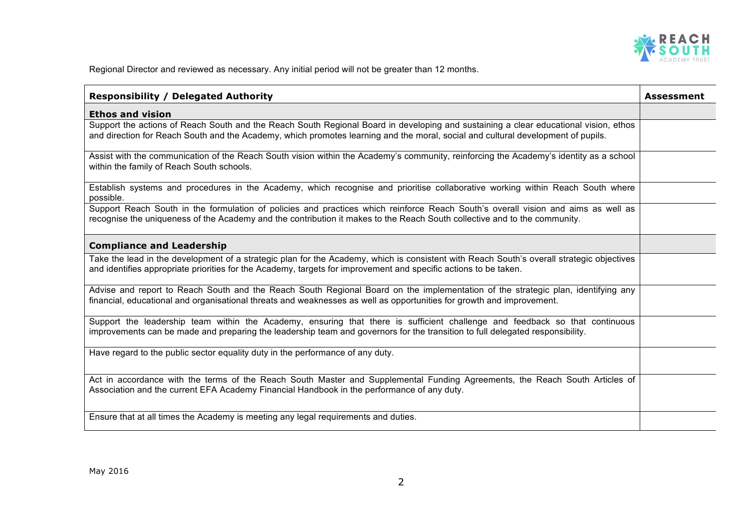

Regional Director and reviewed as necessary. Any initial period will not be greater than 12 months.

| <b>Responsibility / Delegated Authority</b>                                                                                                                                                                                                                              | <b>Assessment</b> |
|--------------------------------------------------------------------------------------------------------------------------------------------------------------------------------------------------------------------------------------------------------------------------|-------------------|
| <b>Ethos and vision</b>                                                                                                                                                                                                                                                  |                   |
| Support the actions of Reach South and the Reach South Regional Board in developing and sustaining a clear educational vision, ethos<br>and direction for Reach South and the Academy, which promotes learning and the moral, social and cultural development of pupils. |                   |
| Assist with the communication of the Reach South vision within the Academy's community, reinforcing the Academy's identity as a school<br>within the family of Reach South schools.                                                                                      |                   |
| Establish systems and procedures in the Academy, which recognise and prioritise collaborative working within Reach South where<br>possible.                                                                                                                              |                   |
| Support Reach South in the formulation of policies and practices which reinforce Reach South's overall vision and aims as well as<br>recognise the uniqueness of the Academy and the contribution it makes to the Reach South collective and to the community.           |                   |
| <b>Compliance and Leadership</b>                                                                                                                                                                                                                                         |                   |
| Take the lead in the development of a strategic plan for the Academy, which is consistent with Reach South's overall strategic objectives<br>and identifies appropriate priorities for the Academy, targets for improvement and specific actions to be taken.            |                   |
| Advise and report to Reach South and the Reach South Regional Board on the implementation of the strategic plan, identifying any<br>financial, educational and organisational threats and weaknesses as well as opportunities for growth and improvement.                |                   |
| Support the leadership team within the Academy, ensuring that there is sufficient challenge and feedback so that continuous<br>improvements can be made and preparing the leadership team and governors for the transition to full delegated responsibility.             |                   |
| Have regard to the public sector equality duty in the performance of any duty.                                                                                                                                                                                           |                   |
| Act in accordance with the terms of the Reach South Master and Supplemental Funding Agreements, the Reach South Articles of<br>Association and the current EFA Academy Financial Handbook in the performance of any duty.                                                |                   |
| Ensure that at all times the Academy is meeting any legal requirements and duties.                                                                                                                                                                                       |                   |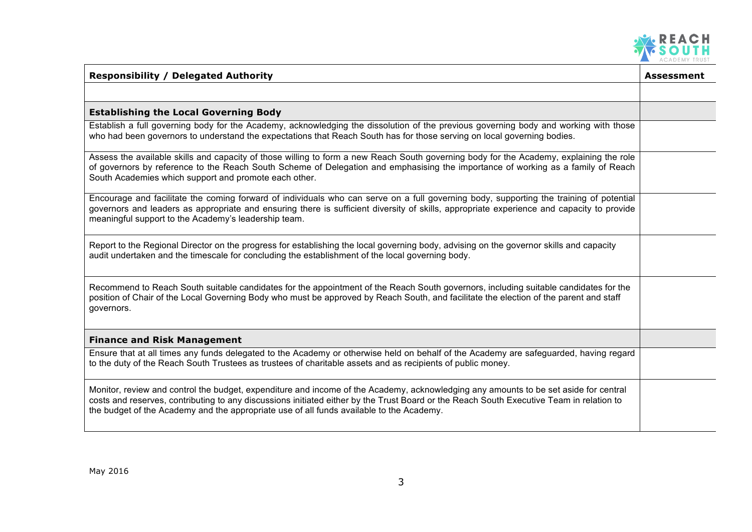

| <b>Responsibility / Delegated Authority</b>                                                                                                                                                                                                                                                                                                                                  | Assessment |
|------------------------------------------------------------------------------------------------------------------------------------------------------------------------------------------------------------------------------------------------------------------------------------------------------------------------------------------------------------------------------|------------|
|                                                                                                                                                                                                                                                                                                                                                                              |            |
| <b>Establishing the Local Governing Body</b>                                                                                                                                                                                                                                                                                                                                 |            |
| Establish a full governing body for the Academy, acknowledging the dissolution of the previous governing body and working with those<br>who had been governors to understand the expectations that Reach South has for those serving on local governing bodies.                                                                                                              |            |
| Assess the available skills and capacity of those willing to form a new Reach South governing body for the Academy, explaining the role<br>of governors by reference to the Reach South Scheme of Delegation and emphasising the importance of working as a family of Reach<br>South Academies which support and promote each other.                                         |            |
| Encourage and facilitate the coming forward of individuals who can serve on a full governing body, supporting the training of potential<br>governors and leaders as appropriate and ensuring there is sufficient diversity of skills, appropriate experience and capacity to provide<br>meaningful support to the Academy's leadership team.                                 |            |
| Report to the Regional Director on the progress for establishing the local governing body, advising on the governor skills and capacity<br>audit undertaken and the timescale for concluding the establishment of the local governing body.                                                                                                                                  |            |
| Recommend to Reach South suitable candidates for the appointment of the Reach South governors, including suitable candidates for the<br>position of Chair of the Local Governing Body who must be approved by Reach South, and facilitate the election of the parent and staff<br>governors.                                                                                 |            |
| <b>Finance and Risk Management</b>                                                                                                                                                                                                                                                                                                                                           |            |
| Ensure that at all times any funds delegated to the Academy or otherwise held on behalf of the Academy are safeguarded, having regard<br>to the duty of the Reach South Trustees as trustees of charitable assets and as recipients of public money.                                                                                                                         |            |
| Monitor, review and control the budget, expenditure and income of the Academy, acknowledging any amounts to be set aside for central<br>costs and reserves, contributing to any discussions initiated either by the Trust Board or the Reach South Executive Team in relation to<br>the budget of the Academy and the appropriate use of all funds available to the Academy. |            |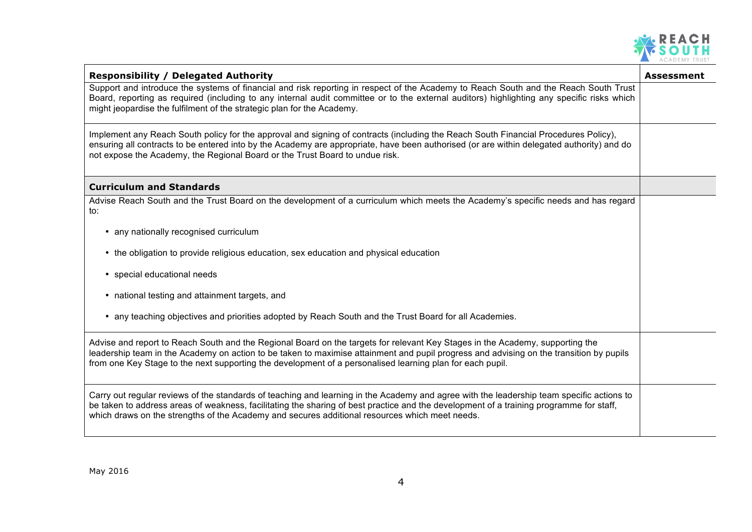

| <b>Responsibility / Delegated Authority</b>                                                                                                                                                                                                                                                                                                                                            | <b>Assessment</b> |
|----------------------------------------------------------------------------------------------------------------------------------------------------------------------------------------------------------------------------------------------------------------------------------------------------------------------------------------------------------------------------------------|-------------------|
| Support and introduce the systems of financial and risk reporting in respect of the Academy to Reach South and the Reach South Trust<br>Board, reporting as required (including to any internal audit committee or to the external auditors) highlighting any specific risks which<br>might jeopardise the fulfilment of the strategic plan for the Academy.                           |                   |
| Implement any Reach South policy for the approval and signing of contracts (including the Reach South Financial Procedures Policy),<br>ensuring all contracts to be entered into by the Academy are appropriate, have been authorised (or are within delegated authority) and do<br>not expose the Academy, the Regional Board or the Trust Board to undue risk.                       |                   |
| <b>Curriculum and Standards</b>                                                                                                                                                                                                                                                                                                                                                        |                   |
| Advise Reach South and the Trust Board on the development of a curriculum which meets the Academy's specific needs and has regard<br>to:                                                                                                                                                                                                                                               |                   |
| • any nationally recognised curriculum                                                                                                                                                                                                                                                                                                                                                 |                   |
| • the obligation to provide religious education, sex education and physical education                                                                                                                                                                                                                                                                                                  |                   |
| • special educational needs                                                                                                                                                                                                                                                                                                                                                            |                   |
| • national testing and attainment targets, and                                                                                                                                                                                                                                                                                                                                         |                   |
| • any teaching objectives and priorities adopted by Reach South and the Trust Board for all Academies.                                                                                                                                                                                                                                                                                 |                   |
| Advise and report to Reach South and the Regional Board on the targets for relevant Key Stages in the Academy, supporting the<br>leadership team in the Academy on action to be taken to maximise attainment and pupil progress and advising on the transition by pupils<br>from one Key Stage to the next supporting the development of a personalised learning plan for each pupil.  |                   |
| Carry out regular reviews of the standards of teaching and learning in the Academy and agree with the leadership team specific actions to<br>be taken to address areas of weakness, facilitating the sharing of best practice and the development of a training programme for staff,<br>which draws on the strengths of the Academy and secures additional resources which meet needs. |                   |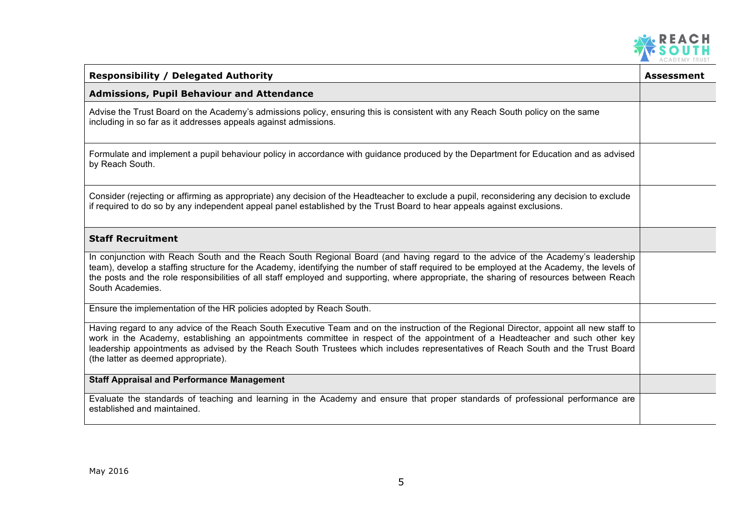

| <b>Responsibility / Delegated Authority</b>                                                                                                                                                                                                                                                                                                                                                                                                         | Assessment |
|-----------------------------------------------------------------------------------------------------------------------------------------------------------------------------------------------------------------------------------------------------------------------------------------------------------------------------------------------------------------------------------------------------------------------------------------------------|------------|
| <b>Admissions, Pupil Behaviour and Attendance</b>                                                                                                                                                                                                                                                                                                                                                                                                   |            |
| Advise the Trust Board on the Academy's admissions policy, ensuring this is consistent with any Reach South policy on the same<br>including in so far as it addresses appeals against admissions.                                                                                                                                                                                                                                                   |            |
| Formulate and implement a pupil behaviour policy in accordance with guidance produced by the Department for Education and as advised<br>by Reach South.                                                                                                                                                                                                                                                                                             |            |
| Consider (rejecting or affirming as appropriate) any decision of the Headteacher to exclude a pupil, reconsidering any decision to exclude<br>if required to do so by any independent appeal panel established by the Trust Board to hear appeals against exclusions.                                                                                                                                                                               |            |
| <b>Staff Recruitment</b>                                                                                                                                                                                                                                                                                                                                                                                                                            |            |
| In conjunction with Reach South and the Reach South Regional Board (and having regard to the advice of the Academy's leadership<br>team), develop a staffing structure for the Academy, identifying the number of staff required to be employed at the Academy, the levels of<br>the posts and the role responsibilities of all staff employed and supporting, where appropriate, the sharing of resources between Reach<br>South Academies.        |            |
| Ensure the implementation of the HR policies adopted by Reach South.                                                                                                                                                                                                                                                                                                                                                                                |            |
| Having regard to any advice of the Reach South Executive Team and on the instruction of the Regional Director, appoint all new staff to<br>work in the Academy, establishing an appointments committee in respect of the appointment of a Headteacher and such other key<br>leadership appointments as advised by the Reach South Trustees which includes representatives of Reach South and the Trust Board<br>(the latter as deemed appropriate). |            |
| <b>Staff Appraisal and Performance Management</b>                                                                                                                                                                                                                                                                                                                                                                                                   |            |
| Evaluate the standards of teaching and learning in the Academy and ensure that proper standards of professional performance are<br>established and maintained.                                                                                                                                                                                                                                                                                      |            |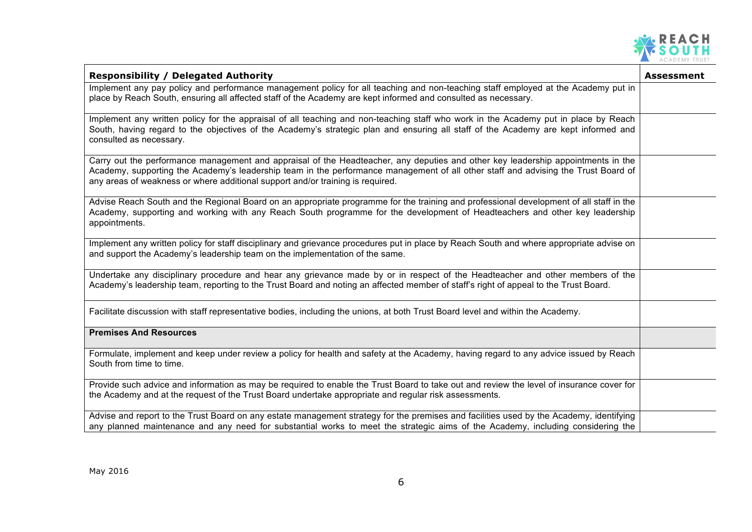

| <b>Responsibility / Delegated Authority</b>                                                                                                                                                                                                                                                                                                              | <b>Assessment</b> |
|----------------------------------------------------------------------------------------------------------------------------------------------------------------------------------------------------------------------------------------------------------------------------------------------------------------------------------------------------------|-------------------|
| Implement any pay policy and performance management policy for all teaching and non-teaching staff employed at the Academy put in<br>place by Reach South, ensuring all affected staff of the Academy are kept informed and consulted as necessary.                                                                                                      |                   |
| Implement any written policy for the appraisal of all teaching and non-teaching staff who work in the Academy put in place by Reach<br>South, having regard to the objectives of the Academy's strategic plan and ensuring all staff of the Academy are kept informed and<br>consulted as necessary.                                                     |                   |
| Carry out the performance management and appraisal of the Headteacher, any deputies and other key leadership appointments in the<br>Academy, supporting the Academy's leadership team in the performance management of all other staff and advising the Trust Board of<br>any areas of weakness or where additional support and/or training is required. |                   |
| Advise Reach South and the Regional Board on an appropriate programme for the training and professional development of all staff in the<br>Academy, supporting and working with any Reach South programme for the development of Headteachers and other key leadership<br>appointments.                                                                  |                   |
| Implement any written policy for staff disciplinary and grievance procedures put in place by Reach South and where appropriate advise on<br>and support the Academy's leadership team on the implementation of the same.                                                                                                                                 |                   |
| Undertake any disciplinary procedure and hear any grievance made by or in respect of the Headteacher and other members of the<br>Academy's leadership team, reporting to the Trust Board and noting an affected member of staff's right of appeal to the Trust Board.                                                                                    |                   |
| Facilitate discussion with staff representative bodies, including the unions, at both Trust Board level and within the Academy.                                                                                                                                                                                                                          |                   |
| <b>Premises And Resources</b>                                                                                                                                                                                                                                                                                                                            |                   |
| Formulate, implement and keep under review a policy for health and safety at the Academy, having regard to any advice issued by Reach<br>South from time to time.                                                                                                                                                                                        |                   |
| Provide such advice and information as may be required to enable the Trust Board to take out and review the level of insurance cover for<br>the Academy and at the request of the Trust Board undertake appropriate and regular risk assessments.                                                                                                        |                   |
| Advise and report to the Trust Board on any estate management strategy for the premises and facilities used by the Academy, identifying<br>any planned maintenance and any need for substantial works to meet the strategic aims of the Academy, including considering the                                                                               |                   |